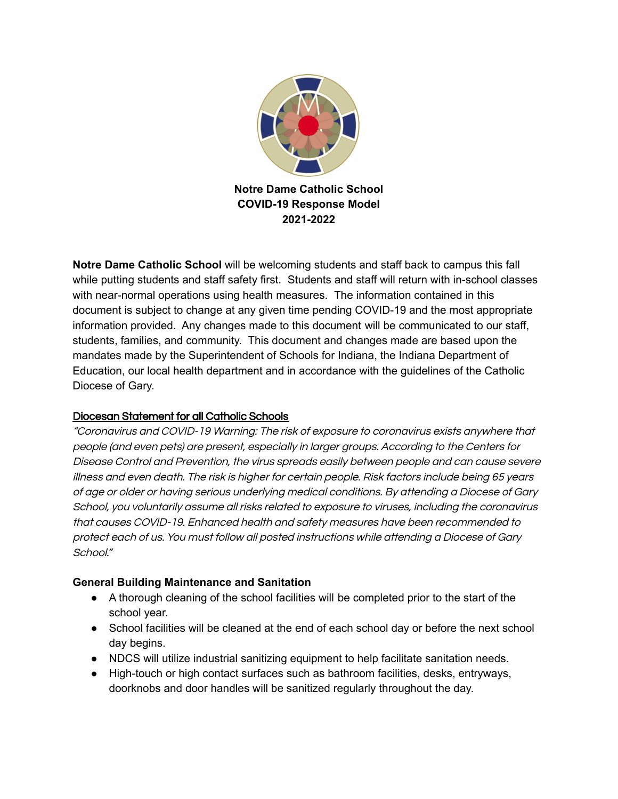

**Notre Dame Catholic School** will be welcoming students and staff back to campus this fall while putting students and staff safety first. Students and staff will return with in-school classes with near-normal operations using health measures. The information contained in this document is subject to change at any given time pending COVID-19 and the most appropriate information provided. Any changes made to this document will be communicated to our staff, students, families, and community. This document and changes made are based upon the mandates made by the Superintendent of Schools for Indiana, the Indiana Department of Education, our local health department and in accordance with the guidelines of the Catholic Diocese of Gary.

#### Diocesan Statement for all Catholic Schools

"Coronavirus and COVID-19 Warning: The risk of exposure to coronavirus exists anywhere that people (and even pets) are present, especially in larger groups. According to the Centers for Disease Control and Prevention, the virus spreads easily between people and can cause severe illness and even death. The risk is higher for certain people. Risk factors include being 65 years of age or older or having serious underlying medical conditions. By attending <sup>a</sup> Diocese of Gary School, you voluntarily assume all risks related to exposure to viruses, including the coronavirus that causes COVID-19. Enhanced health and safety measures have been recommended to protect each of us. You must follow all posted instructions while attending <sup>a</sup> Diocese of Gary School."

#### **General Building Maintenance and Sanitation**

- A thorough cleaning of the school facilities will be completed prior to the start of the school year.
- School facilities will be cleaned at the end of each school day or before the next school day begins.
- NDCS will utilize industrial sanitizing equipment to help facilitate sanitation needs.
- High-touch or high contact surfaces such as bathroom facilities, desks, entryways, doorknobs and door handles will be sanitized regularly throughout the day.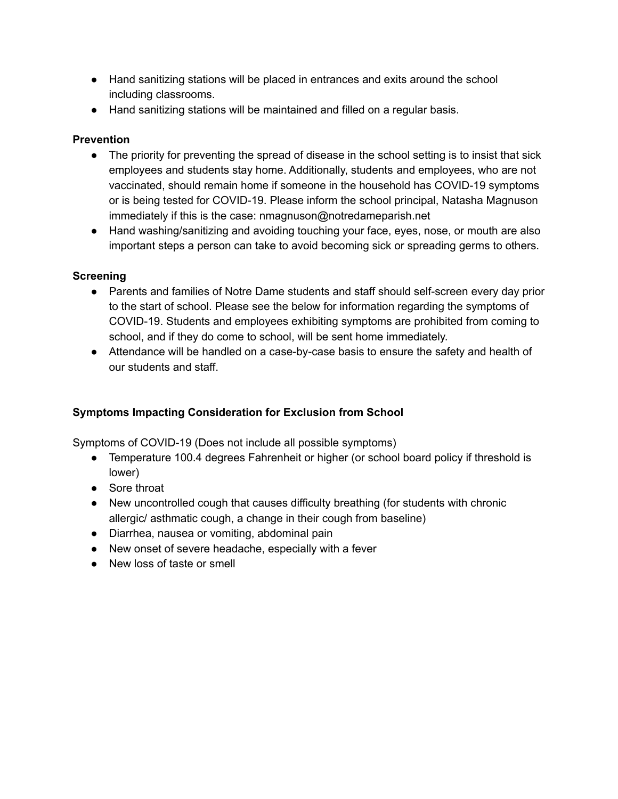- Hand sanitizing stations will be placed in entrances and exits around the school including classrooms.
- Hand sanitizing stations will be maintained and filled on a regular basis.

#### **Prevention**

- The priority for preventing the spread of disease in the school setting is to insist that sick employees and students stay home. Additionally, students and employees, who are not vaccinated, should remain home if someone in the household has COVID-19 symptoms or is being tested for COVID-19. Please inform the school principal, Natasha Magnuson immediately if this is the case: nmagnuson@notredameparish.net
- Hand washing/sanitizing and avoiding touching your face, eyes, nose, or mouth are also important steps a person can take to avoid becoming sick or spreading germs to others.

## **Screening**

- Parents and families of Notre Dame students and staff should self-screen every day prior to the start of school. Please see the below for information regarding the symptoms of COVID-19. Students and employees exhibiting symptoms are prohibited from coming to school, and if they do come to school, will be sent home immediately.
- Attendance will be handled on a case-by-case basis to ensure the safety and health of our students and staff.

#### **Symptoms Impacting Consideration for Exclusion from School**

Symptoms of COVID-19 (Does not include all possible symptoms)

- Temperature 100.4 degrees Fahrenheit or higher (or school board policy if threshold is lower)
- Sore throat
- New uncontrolled cough that causes difficulty breathing (for students with chronic allergic/ asthmatic cough, a change in their cough from baseline)
- Diarrhea, nausea or vomiting, abdominal pain
- New onset of severe headache, especially with a fever
- New loss of taste or smell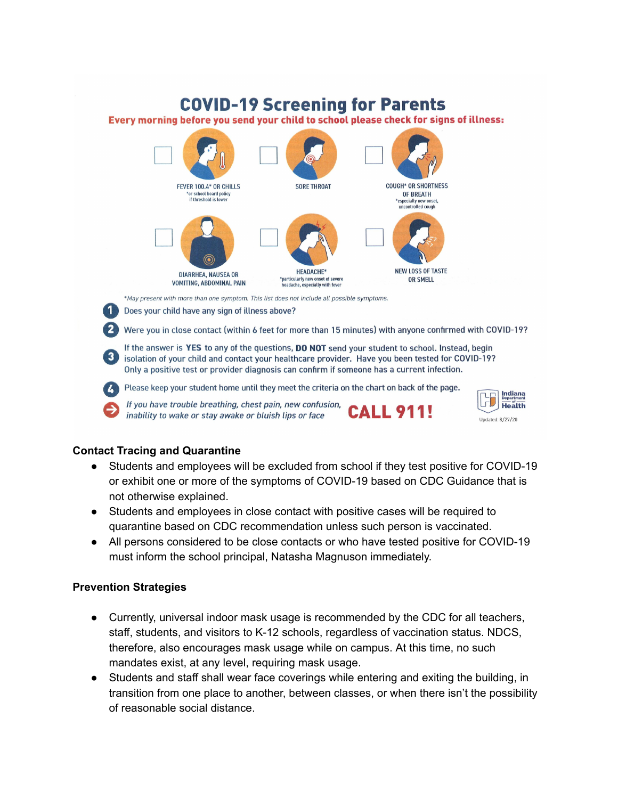# **COVID-19 Screening for Parents**

Every morning before you send your child to school please check for signs of illness:



Were you in close contact (within 6 feet for more than 15 minutes) with anyone confirmed with COVID-19?

If the answer is YES to any of the questions, DO NOT send your student to school. Instead, begin isolation of your child and contact your healthcare provider. Have you been tested for COVID-19? Only a positive test or provider diagnosis can confirm if someone has a current infection.

Please keep your student home until they meet the criteria on the chart on back of the page.  $\mathbf{L}$ 

If you have trouble breathing, chest pain, new confusion, **ALL 91** inability to wake or stay awake or bluish lips or face



#### **Contact Tracing and Quarantine**

- Students and employees will be excluded from school if they test positive for COVID-19 or exhibit one or more of the symptoms of COVID-19 based on CDC Guidance that is not otherwise explained.
- Students and employees in close contact with positive cases will be required to quarantine based on CDC recommendation unless such person is vaccinated.
- All persons considered to be close contacts or who have tested positive for COVID-19 must inform the school principal, Natasha Magnuson immediately.

#### **Prevention Strategies**

- Currently, universal indoor mask usage is recommended by the CDC for all teachers, staff, students, and visitors to K-12 schools, regardless of vaccination status. NDCS, therefore, also encourages mask usage while on campus. At this time, no such mandates exist, at any level, requiring mask usage.
- Students and staff shall wear face coverings while entering and exiting the building, in transition from one place to another, between classes, or when there isn't the possibility of reasonable social distance.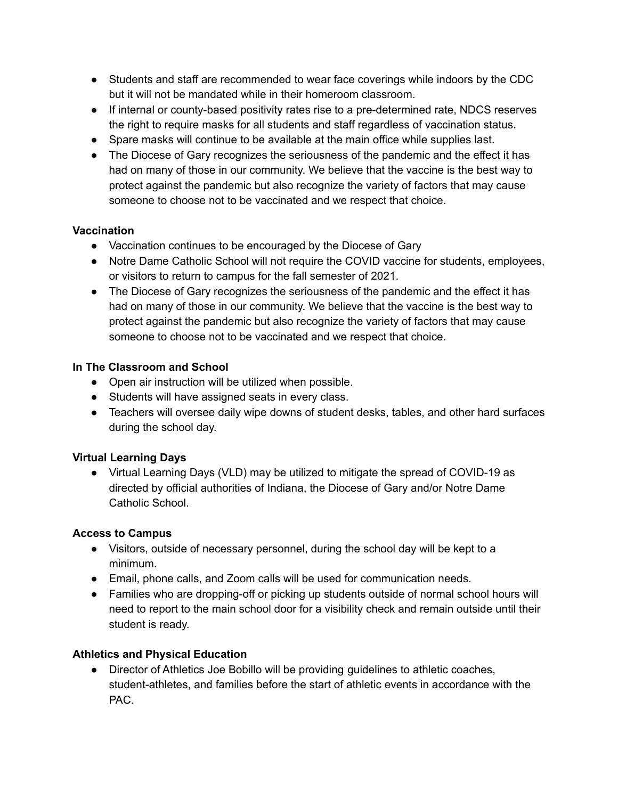- Students and staff are recommended to wear face coverings while indoors by the CDC but it will not be mandated while in their homeroom classroom.
- If internal or county-based positivity rates rise to a pre-determined rate, NDCS reserves the right to require masks for all students and staff regardless of vaccination status.
- Spare masks will continue to be available at the main office while supplies last.
- The Diocese of Gary recognizes the seriousness of the pandemic and the effect it has had on many of those in our community. We believe that the vaccine is the best way to protect against the pandemic but also recognize the variety of factors that may cause someone to choose not to be vaccinated and we respect that choice.

## **Vaccination**

- Vaccination continues to be encouraged by the Diocese of Gary
- Notre Dame Catholic School will not require the COVID vaccine for students, employees, or visitors to return to campus for the fall semester of 2021.
- The Diocese of Gary recognizes the seriousness of the pandemic and the effect it has had on many of those in our community. We believe that the vaccine is the best way to protect against the pandemic but also recognize the variety of factors that may cause someone to choose not to be vaccinated and we respect that choice.

## **In The Classroom and School**

- Open air instruction will be utilized when possible.
- Students will have assigned seats in every class.
- Teachers will oversee daily wipe downs of student desks, tables, and other hard surfaces during the school day.

## **Virtual Learning Days**

● Virtual Learning Days (VLD) may be utilized to mitigate the spread of COVID-19 as directed by official authorities of Indiana, the Diocese of Gary and/or Notre Dame Catholic School.

#### **Access to Campus**

- Visitors, outside of necessary personnel, during the school day will be kept to a minimum.
- Email, phone calls, and Zoom calls will be used for communication needs.
- Families who are dropping-off or picking up students outside of normal school hours will need to report to the main school door for a visibility check and remain outside until their student is ready.

## **Athletics and Physical Education**

• Director of Athletics Joe Bobillo will be providing guidelines to athletic coaches, student-athletes, and families before the start of athletic events in accordance with the PAC.